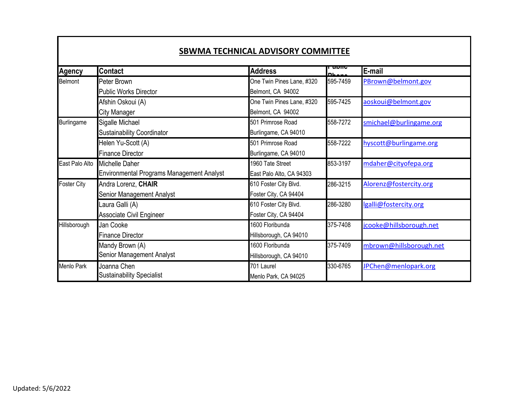|                    |                                                  |                           | นมแบ      |                         |
|--------------------|--------------------------------------------------|---------------------------|-----------|-------------------------|
| <b>Agency</b>      | <b>Contact</b>                                   | <b>Address</b>            | <b>DL</b> | E-mail                  |
| <b>Belmont</b>     | Peter Brown                                      | One Twin Pines Lane, #320 | 595-7459  | PBrown@belmont.gov      |
|                    | Public Works Director                            | Belmont, CA 94002         |           |                         |
|                    | Afshin Oskoui (A)                                | One Twin Pines Lane, #320 | 595-7425  | aoskoui@belmont.gov     |
|                    | <b>City Manager</b>                              | Belmont, CA 94002         |           |                         |
| <b>Burlingame</b>  | Sigalle Michael                                  | 501 Primrose Road         | 558-7272  | smichael@burlingame.org |
|                    | <b>Sustainability Coordinator</b>                | Burlingame, CA 94010      |           |                         |
|                    | Helen Yu-Scott (A)                               | 501 Primrose Road         | 558-7222  | hyscott@burlingame.org  |
|                    | <b>Finance Director</b>                          | Burlingame, CA 94010      |           |                         |
| East Palo Alto     | Michelle Daher                                   | 1960 Tate Street          | 853-3197  | mdaher@cityofepa.org    |
|                    | <b>Environmental Programs Management Analyst</b> | East Palo Alto, CA 94303  |           |                         |
| <b>Foster City</b> | Andra Lorenz, CHAIR                              | 610 Foster City Blvd.     | 286-3215  | Alorenz@fostercity.org  |
|                    | Senior Management Analyst                        | Foster City, CA 94404     |           |                         |
|                    | Laura Galli (A)                                  | 610 Foster City Blvd.     | 286-3280  | lgalli@fostercity.org   |
|                    | Associate Civil Engineer                         | Foster City, CA 94404     |           |                         |
| Hillsborough       | Jan Cooke                                        | 1600 Floribunda           | 375-7408  | jcooke@hillsborough.net |
|                    | <b>Finance Director</b>                          | Hillsborough, CA 94010    |           |                         |
|                    | Mandy Brown (A)                                  | 1600 Floribunda           | 375-7409  | mbrown@hillsborough.net |
|                    | Senior Management Analyst                        | Hillsborough, CA 94010    |           |                         |
| Menlo Park         | Joanna Chen                                      | 701 Laurel                | 330-6765  | JPChen@menlopark.org    |
|                    | Sustainability Specialist                        | Menlo Park, CA 94025      |           |                         |